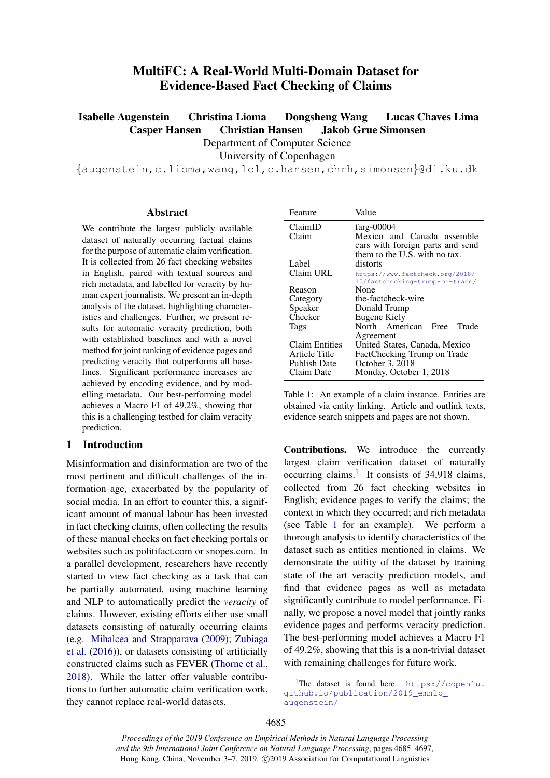# MultiFC: A Real-World Multi-Domain Dataset for Evidence-Based Fact Checking of Claims

<span id="page-0-2"></span>Isabelle Augenstein Christina Lioma Dongsheng Wang Lucas Chaves Lima Casper Hansen Christian Hansen Jakob Grue Simonsen

Department of Computer Science

University of Copenhagen

{augenstein,c.lioma,wang,lcl,c.hansen,chrh,simonsen}@di.ku.dk

#### Abstract

We contribute the largest publicly available dataset of naturally occurring factual claims for the purpose of automatic claim verification. It is collected from 26 fact checking websites in English, paired with textual sources and rich metadata, and labelled for veracity by human expert journalists. We present an in-depth analysis of the dataset, highlighting characteristics and challenges. Further, we present results for automatic veracity prediction, both with established baselines and with a novel method for joint ranking of evidence pages and predicting veracity that outperforms all baselines. Significant performance increases are achieved by encoding evidence, and by modelling metadata. Our best-performing model achieves a Macro F1 of 49.2%, showing that this is a challenging testbed for claim veracity prediction.

### 1 Introduction

Misinformation and disinformation are two of the most pertinent and difficult challenges of the information age, exacerbated by the popularity of social media. In an effort to counter this, a significant amount of manual labour has been invested in fact checking claims, often collecting the results of these manual checks on fact checking portals or websites such as politifact.com or snopes.com. In a parallel development, researchers have recently started to view fact checking as a task that can be partially automated, using machine learning and NLP to automatically predict the *veracity* of claims. However, existing efforts either use small datasets consisting of naturally occurring claims (e.g. [Mihalcea and Strapparava](#page-9-0) [\(2009\)](#page-9-0); [Zubiaga](#page-10-0) [et al.](#page-10-0) [\(2016\)](#page-10-0)), or datasets consisting of artificially constructed claims such as FEVER [\(Thorne et al.,](#page-10-1) [2018\)](#page-10-1). While the latter offer valuable contributions to further automatic claim verification work, they cannot replace real-world datasets.

<span id="page-0-1"></span>

| Feature               | Value                            |
|-----------------------|----------------------------------|
| ClaimID               | farg- $00004$                    |
| Claim                 | Mexico and Canada assemble       |
|                       | cars with foreign parts and send |
|                       | them to the U.S. with no tax.    |
| Label                 | distorts                         |
| Claim URL             | https://www.factcheck.org/2018/  |
|                       | 10/factchecking-trump-on-trade/  |
| Reason                | None                             |
| Category              | the-factcheck-wire               |
| Speaker               | Donald Trump                     |
| Checker               | Eugene Kiely                     |
| Tags                  | North American Free<br>Trade     |
|                       | Agreement                        |
| <b>Claim Entities</b> | United_States, Canada, Mexico    |
| Article Title         | FactChecking Trump on Trade      |
| <b>Publish Date</b>   | October 3, 2018                  |
| Claim Date            | Monday, October 1, 2018          |

Table 1: An example of a claim instance. Entities are obtained via entity linking. Article and outlink texts, evidence search snippets and pages are not shown.

Contributions. We introduce the currently largest claim verification dataset of naturally occurring claims.<sup>[1](#page-0-0)</sup> It consists of 34,918 claims, collected from 26 fact checking websites in English; evidence pages to verify the claims; the context in which they occurred; and rich metadata (see Table [1](#page-0-1) for an example). We perform a thorough analysis to identify characteristics of the dataset such as entities mentioned in claims. We demonstrate the utility of the dataset by training state of the art veracity prediction models, and find that evidence pages as well as metadata significantly contribute to model performance. Finally, we propose a novel model that jointly ranks evidence pages and performs veracity prediction. The best-performing model achieves a Macro F1 of 49.2%, showing that this is a non-trivial dataset with remaining challenges for future work.

*Proceedings of the 2019 Conference on Empirical Methods in Natural Language Processing and the 9th International Joint Conference on Natural Language Processing*, pages 4685–4697, Hong Kong, China, November 3–7, 2019. ©2019 Association for Computational Linguistics

<span id="page-0-0"></span><sup>&</sup>lt;sup>1</sup>The dataset is found here:  $https://copenlu.$ [github.io/publication/2019\\_emnlp\\_](https://copenlu.github.io/publication/2019_emnlp_augenstein/) [augenstein/](https://copenlu.github.io/publication/2019_emnlp_augenstein/)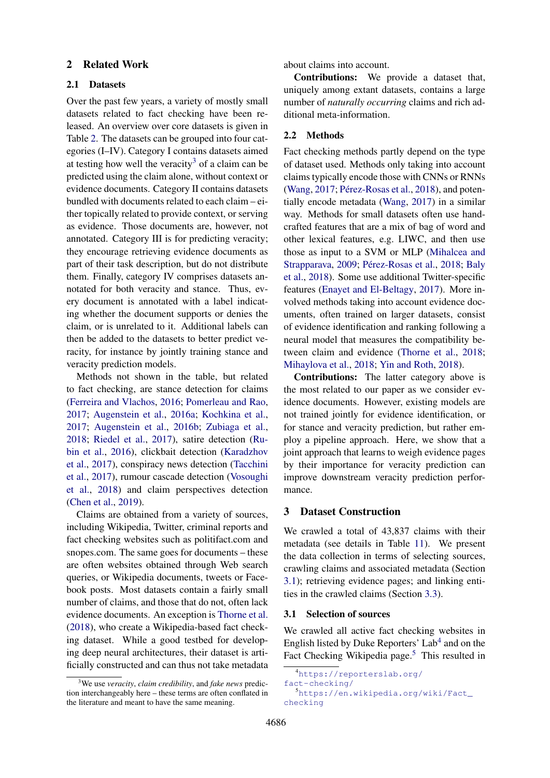# 2 Related Work

#### 2.1 Datasets

Over the past few years, a variety of mostly small datasets related to fact checking have been released. An overview over core datasets is given in Table [2.](#page-2-0) The datasets can be grouped into four categories (I–IV). Category I contains datasets aimed at testing how well the veracity<sup>[3](#page-1-0)</sup> of a claim can be predicted using the claim alone, without context or evidence documents. Category II contains datasets bundled with documents related to each claim – either topically related to provide context, or serving as evidence. Those documents are, however, not annotated. Category III is for predicting veracity; they encourage retrieving evidence documents as part of their task description, but do not distribute them. Finally, category IV comprises datasets annotated for both veracity and stance. Thus, every document is annotated with a label indicating whether the document supports or denies the claim, or is unrelated to it. Additional labels can then be added to the datasets to better predict veracity, for instance by jointly training stance and veracity prediction models.

Methods not shown in the table, but related to fact checking, are stance detection for claims [\(Ferreira and Vlachos,](#page-9-1) [2016;](#page-9-1) [Pomerleau and Rao,](#page-10-2) [2017;](#page-10-2) [Augenstein et al.,](#page-8-0) [2016a;](#page-8-0) [Kochkina et al.,](#page-9-2) [2017;](#page-9-2) [Augenstein et al.,](#page-8-1) [2016b;](#page-8-1) [Zubiaga et al.,](#page-10-3) [2018;](#page-10-3) [Riedel et al.,](#page-10-4) [2017\)](#page-10-4), satire detection [\(Ru](#page-10-5)[bin et al.,](#page-10-5) [2016\)](#page-10-5), clickbait detection [\(Karadzhov](#page-9-3) [et al.,](#page-9-3) [2017\)](#page-9-3), conspiracy news detection [\(Tacchini](#page-10-6) [et al.,](#page-10-6) [2017\)](#page-10-6), rumour cascade detection [\(Vosoughi](#page-10-7) [et al.,](#page-10-7) [2018\)](#page-10-7) and claim perspectives detection [\(Chen et al.,](#page-9-4) [2019\)](#page-9-4).

Claims are obtained from a variety of sources, including Wikipedia, Twitter, criminal reports and fact checking websites such as politifact.com and snopes.com. The same goes for documents – these are often websites obtained through Web search queries, or Wikipedia documents, tweets or Facebook posts. Most datasets contain a fairly small number of claims, and those that do not, often lack evidence documents. An exception is [Thorne et al.](#page-10-1) [\(2018\)](#page-10-1), who create a Wikipedia-based fact checking dataset. While a good testbed for developing deep neural architectures, their dataset is artificially constructed and can thus not take metadata about claims into account.

Contributions: We provide a dataset that, uniquely among extant datasets, contains a large number of *naturally occurring* claims and rich additional meta-information.

# 2.2 Methods

Fact checking methods partly depend on the type of dataset used. Methods only taking into account claims typically encode those with CNNs or RNNs [\(Wang,](#page-10-8)  $2017$ ; Pérez-Rosas et al.,  $2018$ ), and potentially encode metadata [\(Wang,](#page-10-8) [2017\)](#page-10-8) in a similar way. Methods for small datasets often use handcrafted features that are a mix of bag of word and other lexical features, e.g. LIWC, and then use those as input to a SVM or MLP [\(Mihalcea and](#page-9-0) [Strapparava,](#page-9-0) [2009;](#page-9-0) Pérez-Rosas et al., [2018;](#page-9-5) [Baly](#page-9-6) [et al.,](#page-9-6) [2018\)](#page-9-6). Some use additional Twitter-specific features [\(Enayet and El-Beltagy,](#page-9-7) [2017\)](#page-9-7). More involved methods taking into account evidence documents, often trained on larger datasets, consist of evidence identification and ranking following a neural model that measures the compatibility between claim and evidence [\(Thorne et al.,](#page-10-1) [2018;](#page-10-1) [Mihaylova et al.,](#page-9-8) [2018;](#page-9-8) [Yin and Roth,](#page-10-9) [2018\)](#page-10-9).

Contributions: The latter category above is the most related to our paper as we consider evidence documents. However, existing models are not trained jointly for evidence identification, or for stance and veracity prediction, but rather employ a pipeline approach. Here, we show that a joint approach that learns to weigh evidence pages by their importance for veracity prediction can improve downstream veracity prediction performance.

# 3 Dataset Construction

We crawled a total of 43,837 claims with their metadata (see details in Table [11\)](#page-12-0). We present the data collection in terms of selecting sources, crawling claims and associated metadata (Section [3.1\)](#page-1-1); retrieving evidence pages; and linking entities in the crawled claims (Section [3.3\)](#page-3-0).

# <span id="page-1-1"></span>3.1 Selection of sources

We crawled all active fact checking websites in English listed by Duke Reporters' Lab<sup>[4](#page-1-2)</sup> and on the Fact Checking Wikipedia page.<sup>[5](#page-1-3)</sup> This resulted in

<span id="page-1-0"></span><sup>3</sup>We use *veracity*, *claim credibility*, and *fake news* prediction interchangeably here – these terms are often conflated in the literature and meant to have the same meaning.

<span id="page-1-2"></span><sup>4</sup>[https://reporterslab.org/](https://reporterslab.org/fact-checking/)

<span id="page-1-3"></span>[fact-checking/](https://reporterslab.org/fact-checking/) <sup>5</sup>[https://en.wikipedia.org/wiki/Fact\\_](https://en.wikipedia.org/wiki/Fact_checking) [checking](https://en.wikipedia.org/wiki/Fact_checking)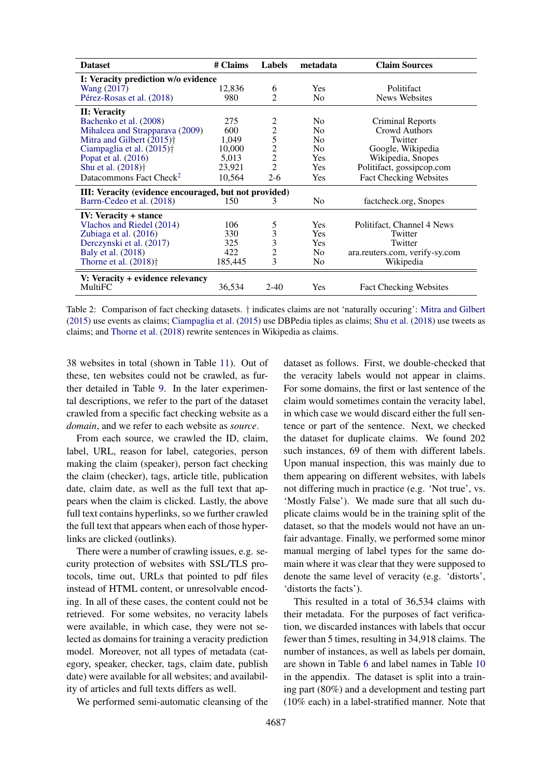<span id="page-2-0"></span>

| <b>Dataset</b>                                               | # Claims | Labels         | metadata       | <b>Claim Sources</b>           |
|--------------------------------------------------------------|----------|----------------|----------------|--------------------------------|
| I: Veracity prediction w/o evidence                          |          |                |                |                                |
| Wang (2017)                                                  | 12,836   | 6              | <b>Yes</b>     | Politifact                     |
| Pérez-Rosas et al. (2018)                                    | 980      | $\mathfrak{D}$ | N <sub>0</sub> | <b>News Websites</b>           |
| II: Veracity                                                 |          |                |                |                                |
| Bachenko et al. (2008)                                       | 275      | 2              | N <sub>0</sub> | Criminal Reports               |
| Mihalcea and Strapparava (2009)                              | 600      | $\overline{c}$ | N <sub>0</sub> | Crowd Authors                  |
| Mitra and Gilbert $(2015)$ <sup><math>\dagger</math></sup>   | 1,049    | 5              | N <sub>0</sub> | Twitter                        |
| Ciampaglia et al. (2015) <sup>†</sup>                        | 10,000   | $\frac{2}{2}$  | N <sub>0</sub> | Google, Wikipedia              |
| Popat et al. (2016)                                          | 5,013    |                | Yes            | Wikipedia, Snopes              |
| Shu et al. (2018) <sup>†</sup>                               | 23,921   | $\overline{2}$ | Yes            | Politifact, gossipcop.com      |
| Datacommons Fact Check <sup>2</sup>                          | 10,564   | $2 - 6$        | Yes            | <b>Fact Checking Websites</b>  |
| <b>III:</b> Veracity (evidence encouraged, but not provided) |          |                |                |                                |
| Barrn-Cedeo et al. (2018)                                    | 150      | 3              | N <sub>0</sub> | factcheck.org, Snopes          |
| <b>IV:</b> Veracity + stance                                 |          |                |                |                                |
| Vlachos and Riedel (2014)                                    | 106      | $\frac{5}{3}$  | Yes            | Politifact, Channel 4 News     |
| Zubiaga et al. (2016)                                        | 330      |                | Yes            | Twitter                        |
| Derczynski et al. (2017)                                     | 325      | 3              | Yes            | Twitter                        |
| Baly et al. (2018)                                           | 422      | $\overline{2}$ | N <sub>0</sub> | ara.reuters.com, verify-sy.com |
| Thorne et al. $(2018)$ <sup>+</sup>                          | 185,445  | 3              | N <sub>0</sub> | Wikipedia                      |
| V: Veracity + evidence relevancy                             |          |                |                |                                |
| MultiFC                                                      | 36,534   | $2 - 40$       | <b>Yes</b>     | <b>Fact Checking Websites</b>  |

Table 2: Comparison of fact checking datasets. † indicates claims are not 'naturally occuring': [Mitra and Gilbert](#page-9-10) [\(2015\)](#page-9-10) use events as claims; [Ciampaglia et al.](#page-9-11) [\(2015\)](#page-9-11) use DBPedia tiples as claims; [Shu et al.](#page-10-11) [\(2018\)](#page-10-11) use tweets as claims; and [Thorne et al.](#page-10-1) [\(2018\)](#page-10-1) rewrite sentences in Wikipedia as claims.

38 websites in total (shown in Table [11\)](#page-12-0). Out of these, ten websites could not be crawled, as further detailed in Table [9.](#page-11-0) In the later experimental descriptions, we refer to the part of the dataset crawled from a specific fact checking website as a *domain*, and we refer to each website as *source*.

From each source, we crawled the ID, claim, label, URL, reason for label, categories, person making the claim (speaker), person fact checking the claim (checker), tags, article title, publication date, claim date, as well as the full text that appears when the claim is clicked. Lastly, the above full text contains hyperlinks, so we further crawled the full text that appears when each of those hyperlinks are clicked (outlinks).

There were a number of crawling issues, e.g. security protection of websites with SSL/TLS protocols, time out, URLs that pointed to pdf files instead of HTML content, or unresolvable encoding. In all of these cases, the content could not be retrieved. For some websites, no veracity labels were available, in which case, they were not selected as domains for training a veracity prediction model. Moreover, not all types of metadata (category, speaker, checker, tags, claim date, publish date) were available for all websites; and availability of articles and full texts differs as well.

We performed semi-automatic cleansing of the

dataset as follows. First, we double-checked that the veracity labels would not appear in claims. For some domains, the first or last sentence of the claim would sometimes contain the veracity label, in which case we would discard either the full sentence or part of the sentence. Next, we checked the dataset for duplicate claims. We found 202 such instances, 69 of them with different labels. Upon manual inspection, this was mainly due to them appearing on different websites, with labels not differing much in practice (e.g. 'Not true', vs. 'Mostly False'). We made sure that all such duplicate claims would be in the training split of the dataset, so that the models would not have an unfair advantage. Finally, we performed some minor manual merging of label types for the same domain where it was clear that they were supposed to denote the same level of veracity (e.g. 'distorts', 'distorts the facts').

This resulted in a total of 36,534 claims with their metadata. For the purposes of fact verification, we discarded instances with labels that occur fewer than 5 times, resulting in 34,918 claims. The number of instances, as well as labels per domain, are shown in Table [6](#page-7-0) and label names in Table [10](#page-11-1) in the appendix. The dataset is split into a training part (80%) and a development and testing part (10% each) in a label-stratified manner. Note that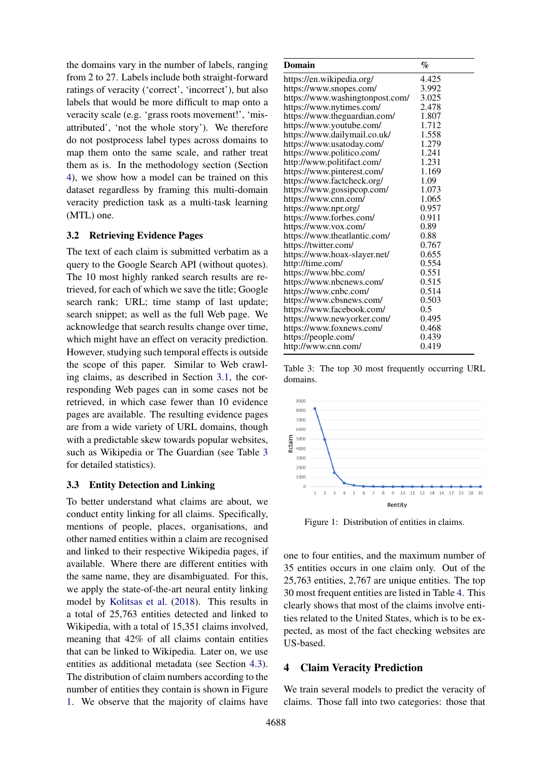the domains vary in the number of labels, ranging from 2 to 27. Labels include both straight-forward ratings of veracity ('correct', 'incorrect'), but also labels that would be more difficult to map onto a veracity scale (e.g. 'grass roots movement!', 'misattributed', 'not the whole story'). We therefore do not postprocess label types across domains to map them onto the same scale, and rather treat them as is. In the methodology section (Section [4\)](#page-3-1), we show how a model can be trained on this dataset regardless by framing this multi-domain veracity prediction task as a multi-task learning (MTL) one.

### <span id="page-3-4"></span>3.2 Retrieving Evidence Pages

The text of each claim is submitted verbatim as a query to the Google Search API (without quotes). The 10 most highly ranked search results are retrieved, for each of which we save the title; Google search rank; URL; time stamp of last update; search snippet; as well as the full Web page. We acknowledge that search results change over time, which might have an effect on veracity prediction. However, studying such temporal effects is outside the scope of this paper. Similar to Web crawling claims, as described in Section [3.1,](#page-1-1) the corresponding Web pages can in some cases not be retrieved, in which case fewer than 10 evidence pages are available. The resulting evidence pages are from a wide variety of URL domains, though with a predictable skew towards popular websites, such as Wikipedia or The Guardian (see Table [3](#page-3-2) for detailed statistics).

# <span id="page-3-0"></span>3.3 Entity Detection and Linking

To better understand what claims are about, we conduct entity linking for all claims. Specifically, mentions of people, places, organisations, and other named entities within a claim are recognised and linked to their respective Wikipedia pages, if available. Where there are different entities with the same name, they are disambiguated. For this, we apply the state-of-the-art neural entity linking model by [Kolitsas et al.](#page-9-14) [\(2018\)](#page-9-14). This results in a total of 25,763 entities detected and linked to Wikipedia, with a total of 15,351 claims involved, meaning that 42% of all claims contain entities that can be linked to Wikipedia. Later on, we use entities as additional metadata (see Section [4.3\)](#page-6-0). The distribution of claim numbers according to the number of entities they contain is shown in Figure [1.](#page-3-3) We observe that the majority of claims have

<span id="page-3-2"></span>

| <b>Domain</b>                   | $\%$  |
|---------------------------------|-------|
| https://en.wikipedia.org/       | 4.425 |
| https://www.snopes.com/         | 3.992 |
| https://www.washingtonpost.com/ | 3.025 |
| https://www.nytimes.com/        | 2.478 |
| https://www.theguardian.com/    | 1.807 |
| https://www.youtube.com/        | 1.712 |
| https://www.dailymail.co.uk/    | 1.558 |
| https://www.usatoday.com/       | 1.279 |
| https://www.politico.com/       | 1.241 |
| http://www.politifact.com/      | 1.231 |
| https://www.pinterest.com/      | 1.169 |
| https://www.factcheck.org/      | 1.09  |
| https://www.gossipcop.com/      | 1.073 |
| https://www.cnn.com/            | 1.065 |
| https://www.npr.org/            | 0.957 |
| https://www.forbes.com/         | 0.911 |
| https://www.vox.com/            | 0.89  |
| https://www.theatlantic.com/    | 0.88  |
| https://twitter.com/            | 0.767 |
| https://www.hoax-slayer.net/    | 0.655 |
| http://time.com/                | 0.554 |
| https://www.bbc.com/            | 0.551 |
| https://www.nbcnews.com/        | 0.515 |
| https://www.cnbc.com/           | 0.514 |
| https://www.cbsnews.com/        | 0.503 |
| https://www.facebook.com/       | 0.5   |
| https://www.newyorker.com/      | 0.495 |
| https://www.foxnews.com/        | 0.468 |
| https://people.com/             | 0.439 |
| http://www.cnn.com/             | 0.419 |

Table 3: The top 30 most frequently occurring URL domains.

<span id="page-3-3"></span>

Figure 1: Distribution of entities in claims.

one to four entities, and the maximum number of 35 entities occurs in one claim only. Out of the 25,763 entities, 2,767 are unique entities. The top 30 most frequent entities are listed in Table [4.](#page-4-0) This clearly shows that most of the claims involve entities related to the United States, which is to be expected, as most of the fact checking websites are US-based.

# <span id="page-3-1"></span>4 Claim Veracity Prediction

We train several models to predict the veracity of claims. Those fall into two categories: those that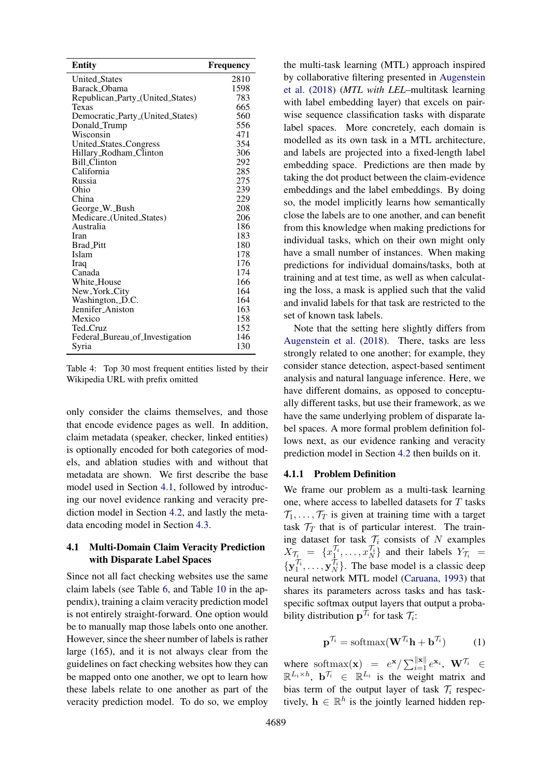<span id="page-4-0"></span>

| Entity                           | <b>Frequency</b> |
|----------------------------------|------------------|
| <b>United States</b>             | 2810             |
| Barack_Obama                     | 1598             |
| Republican_Party_(United_States) | 783              |
| Texas                            | 665              |
| Democratic_Party_(United_States) | 560              |
| Donald_Trump                     | 556              |
| Wisconsin                        | 471              |
| <b>United_States_Congress</b>    | 354              |
| Hillary_Rodham_Clinton           | 306              |
| <b>Bill Clinton</b>              | 292              |
| California                       | 285              |
| Russia                           | 275              |
| Ohio                             | 239              |
| China                            | 229              |
| George_W._Bush                   | 208              |
| Medicare_(United_States)         | 206              |
| Australia                        | 186              |
| Iran                             | 183              |
| <b>Brad Pitt</b>                 | 180              |
| Islam                            | 178              |
| Iraq                             | 176              |
| Canada                           | 174              |
| White_House                      | 166              |
| New_York_City                    | 164              |
| Washington, D.C.                 | 164              |
| Jennifer_Aniston                 | 163              |
| Mexico                           | 158              |
| Ted_Cruz                         | 152              |
| Federal_Bureau_of_Investigation  | 146              |
| Syria                            | 130              |

Table 4: Top 30 most frequent entities listed by their Wikipedia URL with prefix omitted

only consider the claims themselves, and those that encode evidence pages as well. In addition, claim metadata (speaker, checker, linked entities) is optionally encoded for both categories of models, and ablation studies with and without that metadata are shown. We first describe the base model used in Section [4.1,](#page-4-1) followed by introducing our novel evidence ranking and veracity prediction model in Section [4.2,](#page-5-0) and lastly the metadata encoding model in Section [4.3.](#page-6-0)

# <span id="page-4-1"></span>4.1 Multi-Domain Claim Veracity Prediction with Disparate Label Spaces

Since not all fact checking websites use the same claim labels (see Table [6,](#page-7-0) and Table [10](#page-11-1) in the appendix), training a claim veracity prediction model is not entirely straight-forward. One option would be to manually map those labels onto one another. However, since the sheer number of labels is rather large (165), and it is not always clear from the guidelines on fact checking websites how they can be mapped onto one another, we opt to learn how these labels relate to one another as part of the veracity prediction model. To do so, we employ

the multi-task learning (MTL) approach inspired by collaborative filtering presented in [Augenstein](#page-8-2) [et al.](#page-8-2) [\(2018\)](#page-8-2) (*MTL with LEL*–multitask learning with label embedding layer) that excels on pairwise sequence classification tasks with disparate label spaces. More concretely, each domain is modelled as its own task in a MTL architecture, and labels are projected into a fixed-length label embedding space. Predictions are then made by taking the dot product between the claim-evidence embeddings and the label embeddings. By doing so, the model implicitly learns how semantically close the labels are to one another, and can benefit from this knowledge when making predictions for individual tasks, which on their own might only have a small number of instances. When making predictions for individual domains/tasks, both at training and at test time, as well as when calculating the loss, a mask is applied such that the valid and invalid labels for that task are restricted to the set of known task labels.

Note that the setting here slightly differs from [Augenstein et al.](#page-8-2) [\(2018\)](#page-8-2). There, tasks are less strongly related to one another; for example, they consider stance detection, aspect-based sentiment analysis and natural language inference. Here, we have different domains, as opposed to conceptually different tasks, but use their framework, as we have the same underlying problem of disparate label spaces. A more formal problem definition follows next, as our evidence ranking and veracity prediction model in Section [4.2](#page-5-0) then builds on it.

#### 4.1.1 Problem Definition

We frame our problem as a multi-task learning one, where access to labelled datasets for T tasks  $\mathcal{T}_1, \ldots, \mathcal{T}_T$  is given at training time with a target task  $\mathcal{T}_T$  that is of particular interest. The training dataset for task  $\mathcal{T}_i$  consists of N examples  $X_{\mathcal{T}_{i}} = \{x_1^{\mathcal{T}_{i}}, \dots, x_N^{\mathcal{T}_{i}}\}$  and their labels  $Y_{\mathcal{T}_{i}} =$  $\{y_1^{\mathcal{T}_i}, \ldots, y_N^{\mathcal{T}_i}\}\$ . The base model is a classic deep neural network MTL model [\(Caruana,](#page-9-15) [1993\)](#page-9-15) that shares its parameters across tasks and has taskspecific softmax output layers that output a probability distribution  $\mathbf{p}^{\mathcal{T}_i}$  for task  $\mathcal{T}_i$ :

$$
\mathbf{p}^{\mathcal{T}_i} = \text{softmax}(\mathbf{W}^{\mathcal{T}_i}\mathbf{h} + \mathbf{b}^{\mathcal{T}_i}) \tag{1}
$$

where softmax(**x**) =  $e^{x}/\sum_{i=1}^{||x||} e^{x_i}$ ,  $W^{\mathcal{T}_i} \in$  $\mathbb{R}^{L_i \times h}$ ,  $\mathbf{b}^{\mathcal{T}_i} \in \mathbb{R}^{L_i}$  is the weight matrix and bias term of the output layer of task  $\mathcal{T}_i$  respectively,  $h \in \mathbb{R}^h$  is the jointly learned hidden rep-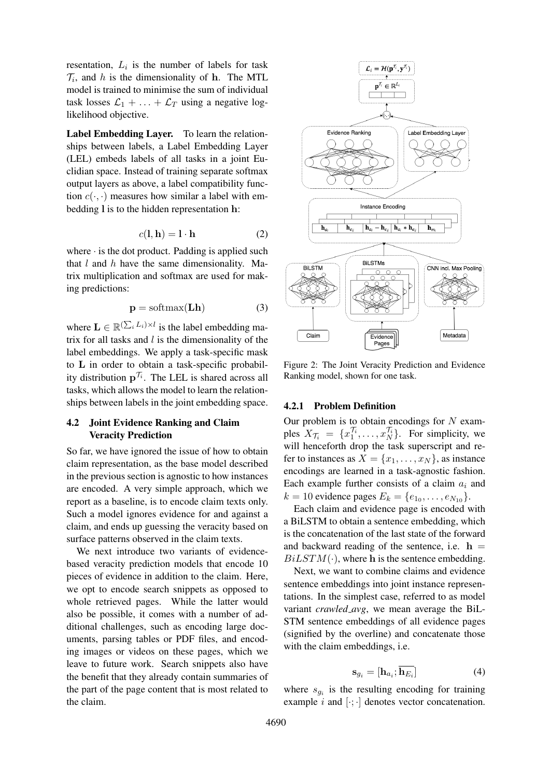resentation,  $L_i$  is the number of labels for task  $\mathcal{T}_i$ , and h is the dimensionality of h. The MTL model is trained to minimise the sum of individual task losses  $\mathcal{L}_1 + \ldots + \mathcal{L}_T$  using a negative loglikelihood objective.

Label Embedding Layer. To learn the relationships between labels, a Label Embedding Layer (LEL) embeds labels of all tasks in a joint Euclidian space. Instead of training separate softmax output layers as above, a label compatibility function  $c(\cdot, \cdot)$  measures how similar a label with embedding l is to the hidden representation h:

$$
c(\mathbf{l}, \mathbf{h}) = \mathbf{l} \cdot \mathbf{h} \tag{2}
$$

where  $\cdot$  is the dot product. Padding is applied such that  $l$  and  $h$  have the same dimensionality. Matrix multiplication and softmax are used for making predictions:

$$
p = softmax(Lh)
$$
 (3)

where  $\mathbf{L} \in \mathbb{R}^{(\sum_i L_i) \times l}$  is the label embedding matrix for all tasks and  $l$  is the dimensionality of the label embeddings. We apply a task-specific mask to L in order to obtain a task-specific probability distribution  $p^{\mathcal{T}_i}$ . The LEL is shared across all tasks, which allows the model to learn the relationships between labels in the joint embedding space.

# <span id="page-5-0"></span>4.2 Joint Evidence Ranking and Claim Veracity Prediction

So far, we have ignored the issue of how to obtain claim representation, as the base model described in the previous section is agnostic to how instances are encoded. A very simple approach, which we report as a baseline, is to encode claim texts only. Such a model ignores evidence for and against a claim, and ends up guessing the veracity based on surface patterns observed in the claim texts.

We next introduce two variants of evidencebased veracity prediction models that encode 10 pieces of evidence in addition to the claim. Here, we opt to encode search snippets as opposed to whole retrieved pages. While the latter would also be possible, it comes with a number of additional challenges, such as encoding large documents, parsing tables or PDF files, and encoding images or videos on these pages, which we leave to future work. Search snippets also have the benefit that they already contain summaries of the part of the page content that is most related to the claim.



Figure 2: The Joint Veracity Prediction and Evidence Ranking model, shown for one task.

### 4.2.1 Problem Definition

Our problem is to obtain encodings for  $N$  examples  $X_{\mathcal{T}_i} = \{x_1^{\mathcal{T}_i}, \dots, x_N^{\mathcal{T}_i}\}\$ . For simplicity, we will henceforth drop the task superscript and refer to instances as  $X = \{x_1, \ldots, x_N\}$ , as instance encodings are learned in a task-agnostic fashion. Each example further consists of a claim  $a_i$  and  $k = 10$  evidence pages  $E_k = \{e_{1_0}, \dots, e_{N_{10}}\}.$ 

Each claim and evidence page is encoded with a BiLSTM to obtain a sentence embedding, which is the concatenation of the last state of the forward and backward reading of the sentence, i.e.  $h =$  $BiLSTM(\cdot)$ , where h is the sentence embedding.

Next, we want to combine claims and evidence sentence embeddings into joint instance representations. In the simplest case, referred to as model variant *crawled avg*, we mean average the BiL-STM sentence embeddings of all evidence pages (signified by the overline) and concatenate those with the claim embeddings, i.e.

$$
\mathbf{s}_{g_i} = [\mathbf{h}_{a_i}; \overline{\mathbf{h}_{E_i}}] \tag{4}
$$

where  $s_{g_i}$  is the resulting encoding for training example  $i$  and  $[\cdot; \cdot]$  denotes vector concatenation.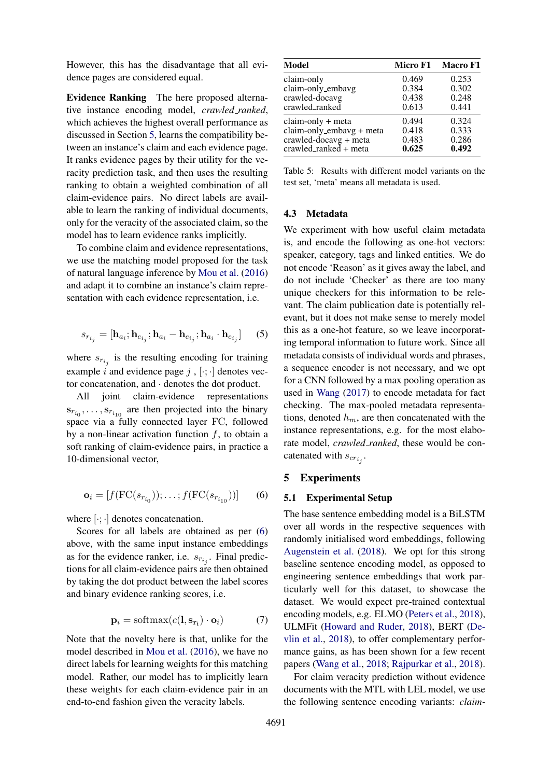However, this has the disadvantage that all evidence pages are considered equal.

Evidence Ranking The here proposed alternative instance encoding model, *crawled ranked*, which achieves the highest overall performance as discussed in Section [5,](#page-6-1) learns the compatibility between an instance's claim and each evidence page. It ranks evidence pages by their utility for the veracity prediction task, and then uses the resulting ranking to obtain a weighted combination of all claim-evidence pairs. No direct labels are available to learn the ranking of individual documents, only for the veracity of the associated claim, so the model has to learn evidence ranks implicitly.

To combine claim and evidence representations, we use the matching model proposed for the task of natural language inference by [Mou et al.](#page-9-16) [\(2016\)](#page-9-16) and adapt it to combine an instance's claim representation with each evidence representation, i.e.

$$
s_{r_{i_j}} = [\mathbf{h}_{a_i}; \mathbf{h}_{e_{i_j}}; \mathbf{h}_{a_i} - \mathbf{h}_{e_{i_j}}; \mathbf{h}_{a_i} \cdot \mathbf{h}_{e_{i_j}}] \tag{5}
$$

where  $s_{r_{i_j}}$  is the resulting encoding for training example i and evidence page j,  $[\cdot; \cdot]$  denotes vector concatenation, and · denotes the dot product.

All joint claim-evidence representations  $s_{r_{i_0}}, \ldots, s_{r_{i_{10}}}$  are then projected into the binary space via a fully connected layer FC, followed by a non-linear activation function  $f$ , to obtain a soft ranking of claim-evidence pairs, in practice a 10-dimensional vector,

<span id="page-6-2"></span>
$$
\mathbf{o}_i = [f(\text{FC}(s_{r_{i_0}})); \dots; f(\text{FC}(s_{r_{i_{10}}}))]
$$
(6)

where  $[\cdot; \cdot]$  denotes concatenation.

Scores for all labels are obtained as per  $(6)$ above, with the same input instance embeddings as for the evidence ranker, i.e.  $s_{r_{i_j}}$ . Final predictions for all claim-evidence pairs are then obtained by taking the dot product between the label scores and binary evidence ranking scores, i.e.

$$
\mathbf{p}_i = \text{softmax}(c(\mathbf{l}, \mathbf{s}_{\mathbf{r}_i}) \cdot \mathbf{o}_i) \tag{7}
$$

Note that the novelty here is that, unlike for the model described in [Mou et al.](#page-9-16) [\(2016\)](#page-9-16), we have no direct labels for learning weights for this matching model. Rather, our model has to implicitly learn these weights for each claim-evidence pair in an end-to-end fashion given the veracity labels.

<span id="page-6-3"></span>

| Model                                  | <b>Micro F1</b> | <b>Macro F1</b> |
|----------------------------------------|-----------------|-----------------|
| claim-only                             | 0.469           | 0.253           |
| claim-only_embavg                      | 0.384           | 0.302           |
| crawled-docavg                         | 0.438           | 0.248           |
| crawled_ranked                         | 0.613           | 0.441           |
| claim-only + meta                      | 0.494           | 0.324           |
| $claim-only$ <sub>-embavg</sub> + meta | 0.418           | 0.333           |
| crawled-docavg + meta                  | 0.483           | 0.286           |
| crawled_ranked + meta                  | 0.625           | 0.492           |

Table 5: Results with different model variants on the test set, 'meta' means all metadata is used.

# <span id="page-6-0"></span>4.3 Metadata

We experiment with how useful claim metadata is, and encode the following as one-hot vectors: speaker, category, tags and linked entities. We do not encode 'Reason' as it gives away the label, and do not include 'Checker' as there are too many unique checkers for this information to be relevant. The claim publication date is potentially relevant, but it does not make sense to merely model this as a one-hot feature, so we leave incorporating temporal information to future work. Since all metadata consists of individual words and phrases, a sequence encoder is not necessary, and we opt for a CNN followed by a max pooling operation as used in [Wang](#page-10-8) [\(2017\)](#page-10-8) to encode metadata for fact checking. The max-pooled metadata representations, denoted  $h_m$ , are then concatenated with the instance representations, e.g. for the most elaborate model, *crawled\_ranked*, these would be concatenated with  $s_{cr_{i_j}}$ .

#### <span id="page-6-1"></span>5 Experiments

#### 5.1 Experimental Setup

The base sentence embedding model is a BiLSTM over all words in the respective sequences with randomly initialised word embeddings, following [Augenstein et al.](#page-8-2) [\(2018\)](#page-8-2). We opt for this strong baseline sentence encoding model, as opposed to engineering sentence embeddings that work particularly well for this dataset, to showcase the dataset. We would expect pre-trained contextual encoding models, e.g. ELMO [\(Peters et al.,](#page-10-13) [2018\)](#page-10-13), ULMFit [\(Howard and Ruder,](#page-9-17) [2018\)](#page-9-17), BERT [\(De](#page-9-18)[vlin et al.,](#page-9-18) [2018\)](#page-9-18), to offer complementary performance gains, as has been shown for a few recent papers [\(Wang et al.,](#page-10-14) [2018;](#page-10-14) [Rajpurkar et al.,](#page-10-15) [2018\)](#page-10-15).

For claim veracity prediction without evidence documents with the MTL with LEL model, we use the following sentence encoding variants: *claim-*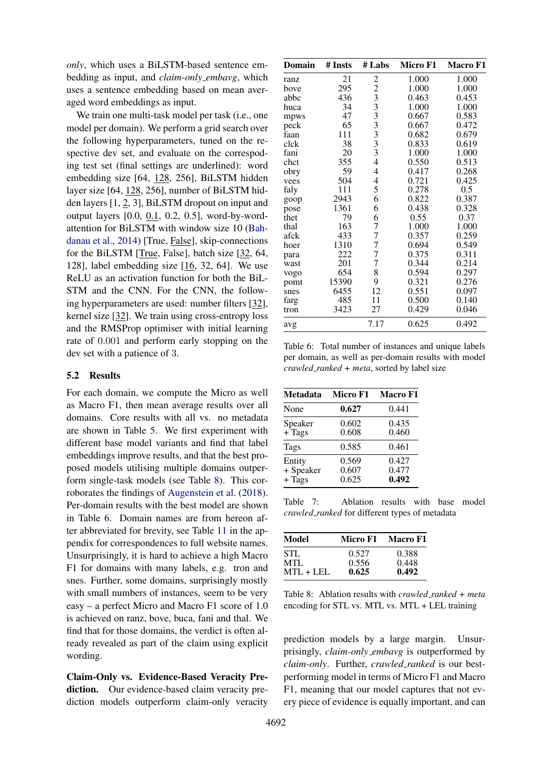*only*, which uses a BiLSTM-based sentence embedding as input, and *claim-only embavg*, which uses a sentence embedding based on mean averaged word embeddings as input.

We train one multi-task model per task (i.e., one model per domain). We perform a grid search over the following hyperparameters, tuned on the respective dev set, and evaluate on the correspoding test set (final settings are underlined): word embedding size [64, 128, 256], BiLSTM hidden layer size [64, 128, 256], number of BiLSTM hidden layers [1, 2, 3], BiLSTM dropout on input and output layers [0.0, 0.1, 0.2, 0.5], word-by-wordattention for BiLSTM with window size 10 [\(Bah](#page-9-19)[danau et al.,](#page-9-19) [2014\)](#page-9-19) [True, False], skip-connections for the BiLSTM [True, False], batch size [32, 64, 128], label embedding size [16, 32, 64]. We use ReLU as an activation function for both the BiL-STM and the CNN. For the CNN, the following hyperparameters are used: number filters [32], kernel size [32]. We train using cross-entropy loss and the RMSProp optimiser with initial learning rate of 0.001 and perform early stopping on the dev set with a patience of 3.

### 5.2 Results

For each domain, we compute the Micro as well as Macro F1, then mean average results over all domains. Core results with all vs. no metadata are shown in Table [5.](#page-6-3) We first experiment with different base model variants and find that label embeddings improve results, and that the best proposed models utilising multiple domains outperform single-task models (see Table [8\)](#page-7-1). This corroborates the findings of [Augenstein et al.](#page-8-2) [\(2018\)](#page-8-2). Per-domain results with the best model are shown in Table [6.](#page-7-0) Domain names are from hereon after abbreviated for brevity, see Table [11](#page-12-0) in the appendix for correspondences to full website names. Unsurprisingly, it is hard to achieve a high Macro F1 for domains with many labels, e.g. tron and snes. Further, some domains, surprisingly mostly with small numbers of instances, seem to be very easy – a perfect Micro and Macro F1 score of 1.0 is achieved on ranz, bove, buca, fani and thal. We find that for those domains, the verdict is often already revealed as part of the claim using explicit wording.

Claim-Only vs. Evidence-Based Veracity Prediction. Our evidence-based claim veracity prediction models outperform claim-only veracity

<span id="page-7-0"></span>

| <b>Domain</b> | # Insts | # Labs                   | Micro F1 | Macro F1 |
|---------------|---------|--------------------------|----------|----------|
| ranz          | 21      |                          | 1.000    | 1.000    |
| bove          | 295     |                          | 1.000    | 1.000    |
| abbc          | 436     |                          | 0.463    | 0.453    |
| huca          | 34      |                          | 1.000    | 1.000    |
| mpws          | 47      |                          | 0.667    | 0.583    |
| peck          | 65      |                          | 0.667    | 0.472    |
| faan          | 111     |                          | 0.682    | 0.679    |
| clck          | 38      | 22333333333              | 0.833    | 0.619    |
| fani          | 20      |                          | 1.000    | 1.000    |
| chct          | 355     | $\overline{4}$           | 0.550    | 0.513    |
| obry          | 59      | $\overline{\mathcal{L}}$ | 0.417    | 0.268    |
| vees          | 504     | $\overline{\mathcal{L}}$ | 0.721    | 0.425    |
| faly          | 111     | 5                        | 0.278    | 0.5      |
| goop          | 2943    | 6                        | 0.822    | 0.387    |
| pose          | 1361    | 6                        | 0.438    | 0.328    |
| thet          | 79      | 6                        | 0.55     | 0.37     |
| thal          | 163     | 7                        | 1.000    | 1.000    |
| afck          | 433     | 7                        | 0.357    | 0.259    |
| hoer          | 1310    | 7                        | 0.694    | 0.549    |
| para          | 222     | 7                        | 0.375    | 0.311    |
| wast          | 201     | 7                        | 0.344    | 0.214    |
| vogo          | 654     | 8                        | 0.594    | 0.297    |
| pomt          | 15390   | 9                        | 0.321    | 0.276    |
| snes          | 6455    | 12                       | 0.551    | 0.097    |
| farg          | 485     | 11                       | 0.500    | 0.140    |
| tron          | 3423    | 27                       | 0.429    | 0.046    |
| avg           |         | 7.17                     | 0.625    | 0.492    |

Table 6: Total number of instances and unique labels per domain, as well as per-domain results with model *crawled ranked + meta*, sorted by label size

<span id="page-7-2"></span>

| <b>Metadata</b>                 | <b>Micro F1</b>         | <b>Macro F1</b>         |
|---------------------------------|-------------------------|-------------------------|
| None                            | 0.627                   | 0.441                   |
| Speaker<br>$+$ $Tags$           | 0.602<br>0.608          | 0.435<br>0.460          |
| Tags                            | 0.585                   | 0.461                   |
| Entity<br>+ Speaker<br>$+$ Tags | 0.569<br>0.607<br>0.625 | 0.427<br>0.477<br>0.492 |

Table 7: Ablation results with base model *crawled ranked* for different types of metadata

<span id="page-7-1"></span>

| Model       | Micro F1 | Macro F1 |
|-------------|----------|----------|
| <b>STL</b>  | 0.527    | 0.388    |
| MTL         | 0.556    | 0.448    |
| $MTL + LEL$ | 0.625    | 0.492    |

Table 8: Ablation results with *crawled ranked + meta* encoding for STL vs. MTL vs. MTL + LEL training

prediction models by a large margin. Unsurprisingly, *claim-only embavg* is outperformed by *claim-only*. Further, *crawled ranked* is our bestperforming model in terms of Micro F1 and Macro F1, meaning that our model captures that not every piece of evidence is equally important, and can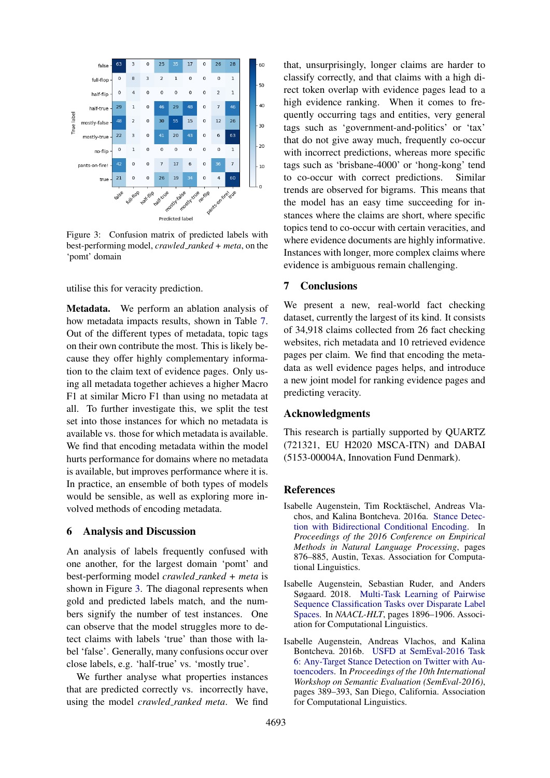<span id="page-8-3"></span>

Figure 3: Confusion matrix of predicted labels with best-performing model, *crawled ranked + meta*, on the 'pomt' domain

utilise this for veracity prediction.

Metadata. We perform an ablation analysis of how metadata impacts results, shown in Table [7.](#page-7-2) Out of the different types of metadata, topic tags on their own contribute the most. This is likely because they offer highly complementary information to the claim text of evidence pages. Only using all metadata together achieves a higher Macro F1 at similar Micro F1 than using no metadata at all. To further investigate this, we split the test set into those instances for which no metadata is available vs. those for which metadata is available. We find that encoding metadata within the model hurts performance for domains where no metadata is available, but improves performance where it is. In practice, an ensemble of both types of models would be sensible, as well as exploring more involved methods of encoding metadata.

#### 6 Analysis and Discussion

An analysis of labels frequently confused with one another, for the largest domain 'pomt' and best-performing model *crawled ranked + meta* is shown in Figure [3.](#page-8-3) The diagonal represents when gold and predicted labels match, and the numbers signify the number of test instances. One can observe that the model struggles more to detect claims with labels 'true' than those with label 'false'. Generally, many confusions occur over close labels, e.g. 'half-true' vs. 'mostly true'.

We further analyse what properties instances that are predicted correctly vs. incorrectly have, using the model *crawled ranked meta*. We find that, unsurprisingly, longer claims are harder to classify correctly, and that claims with a high direct token overlap with evidence pages lead to a high evidence ranking. When it comes to frequently occurring tags and entities, very general tags such as 'government-and-politics' or 'tax' that do not give away much, frequently co-occur with incorrect predictions, whereas more specific tags such as 'brisbane-4000' or 'hong-kong' tend to co-occur with correct predictions. Similar trends are observed for bigrams. This means that the model has an easy time succeeding for instances where the claims are short, where specific topics tend to co-occur with certain veracities, and where evidence documents are highly informative. Instances with longer, more complex claims where evidence is ambiguous remain challenging.

# 7 Conclusions

We present a new, real-world fact checking dataset, currently the largest of its kind. It consists of 34,918 claims collected from 26 fact checking websites, rich metadata and 10 retrieved evidence pages per claim. We find that encoding the metadata as well evidence pages helps, and introduce a new joint model for ranking evidence pages and predicting veracity.

### Acknowledgments

This research is partially supported by QUARTZ (721321, EU H2020 MSCA-ITN) and DABAI (5153-00004A, Innovation Fund Denmark).

# References

- <span id="page-8-0"></span>Isabelle Augenstein, Tim Rocktäschel, Andreas Vlachos, and Kalina Bontcheva. 2016a. [Stance Detec](https://doi.org/10.18653/v1/D16-1084)[tion with Bidirectional Conditional Encoding.](https://doi.org/10.18653/v1/D16-1084) In *Proceedings of the 2016 Conference on Empirical Methods in Natural Language Processing*, pages 876–885, Austin, Texas. Association for Computational Linguistics.
- <span id="page-8-2"></span>Isabelle Augenstein, Sebastian Ruder, and Anders Søgaard. 2018. [Multi-Task Learning of Pairwise](http://dblp.uni-trier.de/db/conf/naacl/naacl2018-1.html#AugensteinRS18) [Sequence Classification Tasks over Disparate Label](http://dblp.uni-trier.de/db/conf/naacl/naacl2018-1.html#AugensteinRS18) [Spaces.](http://dblp.uni-trier.de/db/conf/naacl/naacl2018-1.html#AugensteinRS18) In *NAACL-HLT*, pages 1896–1906. Association for Computational Linguistics.
- <span id="page-8-1"></span>Isabelle Augenstein, Andreas Vlachos, and Kalina Bontcheva. 2016b. [USFD at SemEval-2016 Task](https://doi.org/10.18653/v1/S16-1063) [6: Any-Target Stance Detection on Twitter with Au](https://doi.org/10.18653/v1/S16-1063)[toencoders.](https://doi.org/10.18653/v1/S16-1063) In *Proceedings of the 10th International Workshop on Semantic Evaluation (SemEval-2016)*, pages 389–393, San Diego, California. Association for Computational Linguistics.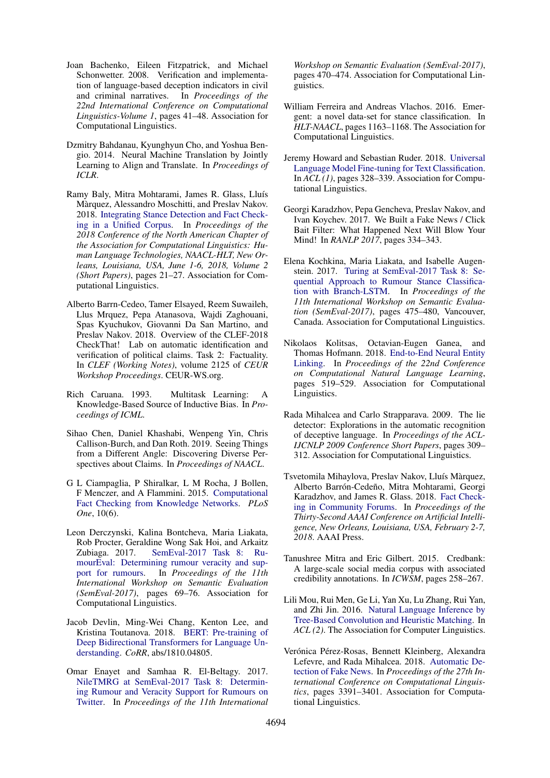- <span id="page-9-9"></span>Joan Bachenko, Eileen Fitzpatrick, and Michael Schonwetter. 2008. Verification and implementation of language-based deception indicators in civil and criminal narratives. In *Proceedings of the 22nd International Conference on Computational Linguistics-Volume 1*, pages 41–48. Association for Computational Linguistics.
- <span id="page-9-19"></span>Dzmitry Bahdanau, Kyunghyun Cho, and Yoshua Bengio. 2014. Neural Machine Translation by Jointly Learning to Align and Translate. In *Proceedings of ICLR*.
- <span id="page-9-6"></span>Ramy Baly, Mitra Mohtarami, James R. Glass, Lluís Màrquez, Alessandro Moschitti, and Preslav Nakov. 2018. [Integrating Stance Detection and Fact Check](https://aclanthology.info/papers/N18-2004/n18-2004)[ing in a Unified Corpus.](https://aclanthology.info/papers/N18-2004/n18-2004) In *Proceedings of the 2018 Conference of the North American Chapter of the Association for Computational Linguistics: Human Language Technologies, NAACL-HLT, New Orleans, Louisiana, USA, June 1-6, 2018, Volume 2 (Short Papers)*, pages 21–27. Association for Computational Linguistics.
- <span id="page-9-12"></span>Alberto Barrn-Cedeo, Tamer Elsayed, Reem Suwaileh, Llus Mrquez, Pepa Atanasova, Wajdi Zaghouani, Spas Kyuchukov, Giovanni Da San Martino, and Preslav Nakov. 2018. Overview of the CLEF-2018 CheckThat! Lab on automatic identification and verification of political claims. Task 2: Factuality. In *CLEF (Working Notes)*, volume 2125 of *CEUR Workshop Proceedings*. CEUR-WS.org.
- <span id="page-9-15"></span>Rich Caruana. 1993. Multitask Learning: A Knowledge-Based Source of Inductive Bias. In *Proceedings of ICML*.
- <span id="page-9-4"></span>Sihao Chen, Daniel Khashabi, Wenpeng Yin, Chris Callison-Burch, and Dan Roth. 2019. Seeing Things from a Different Angle: Discovering Diverse Perspectives about Claims. In *Proceedings of NAACL*.
- <span id="page-9-11"></span>G L Ciampaglia, P Shiralkar, L M Rocha, J Bollen, F Menczer, and A Flammini. 2015. [Computational](https://doi.org/10.1371/journal.pone.0128193) [Fact Checking from Knowledge Networks.](https://doi.org/10.1371/journal.pone.0128193) *PLoS One*, 10(6).
- <span id="page-9-13"></span>Leon Derczynski, Kalina Bontcheva, Maria Liakata, Rob Procter, Geraldine Wong Sak Hoi, and Arkaitz Zubiaga. 2017. [SemEval-2017 Task 8: Ru](https://doi.org/10.18653/v1/S17-2006)[mourEval: Determining rumour veracity and sup](https://doi.org/10.18653/v1/S17-2006)[port for rumours.](https://doi.org/10.18653/v1/S17-2006) In *Proceedings of the 11th International Workshop on Semantic Evaluation (SemEval-2017)*, pages 69–76. Association for Computational Linguistics.
- <span id="page-9-18"></span>Jacob Devlin, Ming-Wei Chang, Kenton Lee, and Kristina Toutanova. 2018. [BERT: Pre-training of](http://dblp.uni-trier.de/db/journals/corr/corr1810.html#abs-1810-04805) [Deep Bidirectional Transformers for Language Un](http://dblp.uni-trier.de/db/journals/corr/corr1810.html#abs-1810-04805)[derstanding.](http://dblp.uni-trier.de/db/journals/corr/corr1810.html#abs-1810-04805) *CoRR*, abs/1810.04805.
- <span id="page-9-7"></span>Omar Enayet and Samhaa R. El-Beltagy. 2017. [NileTMRG at SemEval-2017 Task 8: Determin](https://doi.org/10.18653/v1/S17-2082)[ing Rumour and Veracity Support for Rumours on](https://doi.org/10.18653/v1/S17-2082) [Twitter.](https://doi.org/10.18653/v1/S17-2082) In *Proceedings of the 11th International*

*Workshop on Semantic Evaluation (SemEval-2017)*, pages 470–474. Association for Computational Linguistics.

- <span id="page-9-1"></span>William Ferreira and Andreas Vlachos. 2016. Emergent: a novel data-set for stance classification. In *HLT-NAACL*, pages 1163–1168. The Association for Computational Linguistics.
- <span id="page-9-17"></span>Jeremy Howard and Sebastian Ruder. 2018. [Universal](http://dblp.uni-trier.de/db/conf/acl/acl2018-1.html#RuderH18) [Language Model Fine-tuning for Text Classification.](http://dblp.uni-trier.de/db/conf/acl/acl2018-1.html#RuderH18) In *ACL (1)*, pages 328–339. Association for Computational Linguistics.
- <span id="page-9-3"></span>Georgi Karadzhov, Pepa Gencheva, Preslav Nakov, and Ivan Koychev. 2017. We Built a Fake News / Click Bait Filter: What Happened Next Will Blow Your Mind! In *RANLP 2017*, pages 334–343.
- <span id="page-9-2"></span>Elena Kochkina, Maria Liakata, and Isabelle Augenstein. 2017. [Turing at SemEval-2017 Task 8: Se](https://doi.org/10.18653/v1/S17-2083)[quential Approach to Rumour Stance Classifica](https://doi.org/10.18653/v1/S17-2083)[tion with Branch-LSTM.](https://doi.org/10.18653/v1/S17-2083) In *Proceedings of the 11th International Workshop on Semantic Evaluation (SemEval-2017)*, pages 475–480, Vancouver, Canada. Association for Computational Linguistics.
- <span id="page-9-14"></span>Nikolaos Kolitsas, Octavian-Eugen Ganea, and Thomas Hofmann. 2018. [End-to-End Neural Entity](http://aclweb.org/anthology/K18-1050) [Linking.](http://aclweb.org/anthology/K18-1050) In *Proceedings of the 22nd Conference on Computational Natural Language Learning*, pages 519–529. Association for Computational Linguistics.
- <span id="page-9-0"></span>Rada Mihalcea and Carlo Strapparava. 2009. The lie detector: Explorations in the automatic recognition of deceptive language. In *Proceedings of the ACL-IJCNLP 2009 Conference Short Papers*, pages 309– 312. Association for Computational Linguistics.
- <span id="page-9-8"></span>Tsvetomila Mihaylova, Preslav Nakov, Lluís Màrquez, Alberto Barrón-Cedeño, Mitra Mohtarami, Georgi Karadzhov, and James R. Glass. 2018. [Fact Check](https://www.aaai.org/ocs/index.php/AAAI/AAAI18/paper/view/16780)[ing in Community Forums.](https://www.aaai.org/ocs/index.php/AAAI/AAAI18/paper/view/16780) In *Proceedings of the Thirty-Second AAAI Conference on Artificial Intelligence, New Orleans, Louisiana, USA, February 2-7, 2018*. AAAI Press.
- <span id="page-9-10"></span>Tanushree Mitra and Eric Gilbert. 2015. Credbank: A large-scale social media corpus with associated credibility annotations. In *ICWSM*, pages 258–267.
- <span id="page-9-16"></span>Lili Mou, Rui Men, Ge Li, Yan Xu, Lu Zhang, Rui Yan, and Zhi Jin. 2016. [Natural Language Inference by](http://dblp.uni-trier.de/db/conf/acl/acl2016-2.html#MouMLX0YJ16) [Tree-Based Convolution and Heuristic Matching.](http://dblp.uni-trier.de/db/conf/acl/acl2016-2.html#MouMLX0YJ16) In *ACL (2)*. The Association for Computer Linguistics.
- <span id="page-9-5"></span>Verónica Pérez-Rosas, Bennett Kleinberg, Alexandra Lefevre, and Rada Mihalcea. 2018. [Automatic De](http://aclweb.org/anthology/C18-1287)[tection of Fake News.](http://aclweb.org/anthology/C18-1287) In *Proceedings of the 27th International Conference on Computational Linguistics*, pages 3391–3401. Association for Computational Linguistics.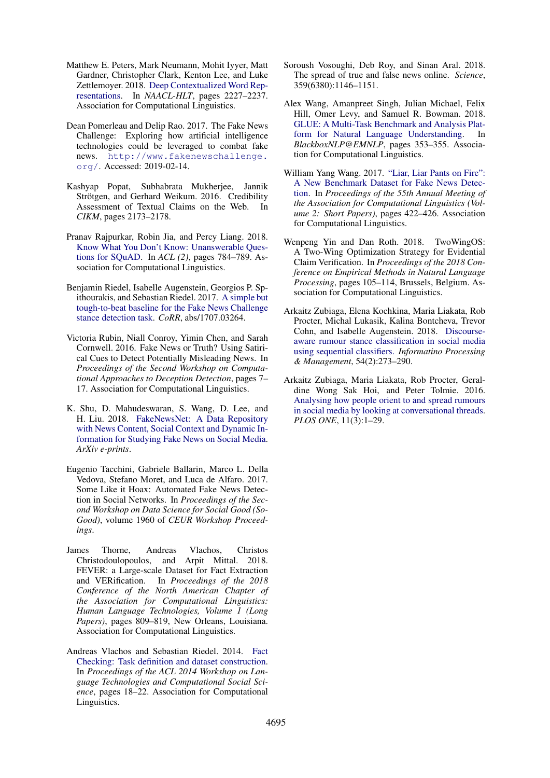- <span id="page-10-13"></span>Matthew E. Peters, Mark Neumann, Mohit Iyyer, Matt Gardner, Christopher Clark, Kenton Lee, and Luke Zettlemoyer. 2018. [Deep Contextualized Word Rep](http://dblp.uni-trier.de/db/conf/naacl/naacl2018-1.html#PetersNIGCLZ18)[resentations.](http://dblp.uni-trier.de/db/conf/naacl/naacl2018-1.html#PetersNIGCLZ18) In *NAACL-HLT*, pages 2227–2237. Association for Computational Linguistics.
- <span id="page-10-2"></span>Dean Pomerleau and Delip Rao. 2017. The Fake News Challenge: Exploring how artificial intelligence technologies could be leveraged to combat fake news. [http://www.fakenewschallenge.](http://www.fakenewschallenge.org/) [org/](http://www.fakenewschallenge.org/). Accessed: 2019-02-14.
- <span id="page-10-10"></span>Kashyap Popat, Subhabrata Mukherjee, Jannik Strötgen, and Gerhard Weikum. 2016. Credibility Assessment of Textual Claims on the Web. In *CIKM*, pages 2173–2178.
- <span id="page-10-15"></span>Pranav Rajpurkar, Robin Jia, and Percy Liang. 2018. [Know What You Don't Know: Unanswerable Ques](http://dblp.uni-trier.de/db/conf/acl/acl2018-2.html#RajpurkarJL18)[tions for SQuAD.](http://dblp.uni-trier.de/db/conf/acl/acl2018-2.html#RajpurkarJL18) In *ACL (2)*, pages 784–789. Association for Computational Linguistics.
- <span id="page-10-4"></span>Benjamin Riedel, Isabelle Augenstein, Georgios P. Spithourakis, and Sebastian Riedel. 2017. [A simple but](http://dblp.uni-trier.de/db/journals/corr/corr1707.html#RiedelASR17) [tough-to-beat baseline for the Fake News Challenge](http://dblp.uni-trier.de/db/journals/corr/corr1707.html#RiedelASR17) [stance detection task.](http://dblp.uni-trier.de/db/journals/corr/corr1707.html#RiedelASR17) *CoRR*, abs/1707.03264.
- <span id="page-10-5"></span>Victoria Rubin, Niall Conroy, Yimin Chen, and Sarah Cornwell. 2016. Fake News or Truth? Using Satirical Cues to Detect Potentially Misleading News. In *Proceedings of the Second Workshop on Computational Approaches to Deception Detection*, pages 7– 17. Association for Computational Linguistics.
- <span id="page-10-11"></span>K. Shu, D. Mahudeswaran, S. Wang, D. Lee, and H. Liu. 2018. [FakeNewsNet: A Data Repository](http://arxiv.org/abs/1809.01286) [with News Content, Social Context and Dynamic In](http://arxiv.org/abs/1809.01286)[formation for Studying Fake News on Social Media.](http://arxiv.org/abs/1809.01286) *ArXiv e-prints*.
- <span id="page-10-6"></span>Eugenio Tacchini, Gabriele Ballarin, Marco L. Della Vedova, Stefano Moret, and Luca de Alfaro. 2017. Some Like it Hoax: Automated Fake News Detection in Social Networks. In *Proceedings of the Second Workshop on Data Science for Social Good (So-Good)*, volume 1960 of *CEUR Workshop Proceedings*.
- <span id="page-10-1"></span>James Thorne, Andreas Vlachos, Christos Christodoulopoulos, and Arpit Mittal. 2018. FEVER: a Large-scale Dataset for Fact Extraction and VERification. In *Proceedings of the 2018 Conference of the North American Chapter of the Association for Computational Linguistics: Human Language Technologies, Volume 1 (Long Papers)*, pages 809–819, New Orleans, Louisiana. Association for Computational Linguistics.
- <span id="page-10-12"></span>Andreas Vlachos and Sebastian Riedel. 2014. [Fact](https://doi.org/10.3115/v1/W14-2508) [Checking: Task definition and dataset construction.](https://doi.org/10.3115/v1/W14-2508) In *Proceedings of the ACL 2014 Workshop on Language Technologies and Computational Social Science*, pages 18–22. Association for Computational Linguistics.
- <span id="page-10-7"></span>Soroush Vosoughi, Deb Roy, and Sinan Aral. 2018. The spread of true and false news online. *Science*, 359(6380):1146–1151.
- <span id="page-10-14"></span>Alex Wang, Amanpreet Singh, Julian Michael, Felix Hill, Omer Levy, and Samuel R. Bowman. 2018. [GLUE: A Multi-Task Benchmark and Analysis Plat](http://dblp.uni-trier.de/db/conf/emnlp/blackbox2018.html#WangSMHLB18)[form for Natural Language Understanding.](http://dblp.uni-trier.de/db/conf/emnlp/blackbox2018.html#WangSMHLB18) In *BlackboxNLP@EMNLP*, pages 353–355. Association for Computational Linguistics.
- <span id="page-10-8"></span>William Yang Wang. 2017. ["Liar, Liar Pants on Fire":](https://doi.org/10.18653/v1/P17-2067) [A New Benchmark Dataset for Fake News Detec](https://doi.org/10.18653/v1/P17-2067)[tion.](https://doi.org/10.18653/v1/P17-2067) In *Proceedings of the 55th Annual Meeting of the Association for Computational Linguistics (Volume 2: Short Papers)*, pages 422–426. Association for Computational Linguistics.
- <span id="page-10-9"></span>Wenpeng Yin and Dan Roth. 2018. TwoWingOS: A Two-Wing Optimization Strategy for Evidential Claim Verification. In *Proceedings of the 2018 Conference on Empirical Methods in Natural Language Processing*, pages 105–114, Brussels, Belgium. Association for Computational Linguistics.
- <span id="page-10-3"></span>Arkaitz Zubiaga, Elena Kochkina, Maria Liakata, Rob Procter, Michal Lukasik, Kalina Bontcheva, Trevor Cohn, and Isabelle Augenstein. 2018. [Discourse](http://dblp.uni-trier.de/db/journals/ipm/ipm54.html#ZubiagaKLPLBCA18)[aware rumour stance classification in social media](http://dblp.uni-trier.de/db/journals/ipm/ipm54.html#ZubiagaKLPLBCA18) [using sequential classifiers.](http://dblp.uni-trier.de/db/journals/ipm/ipm54.html#ZubiagaKLPLBCA18) *Informatino Processing & Management*, 54(2):273–290.
- <span id="page-10-0"></span>Arkaitz Zubiaga, Maria Liakata, Rob Procter, Geraldine Wong Sak Hoi, and Peter Tolmie. 2016. [Analysing how people orient to and spread rumours](https://doi.org/10.1371/journal.pone.0150989) [in social media by looking at conversational threads.](https://doi.org/10.1371/journal.pone.0150989) *PLOS ONE*, 11(3):1–29.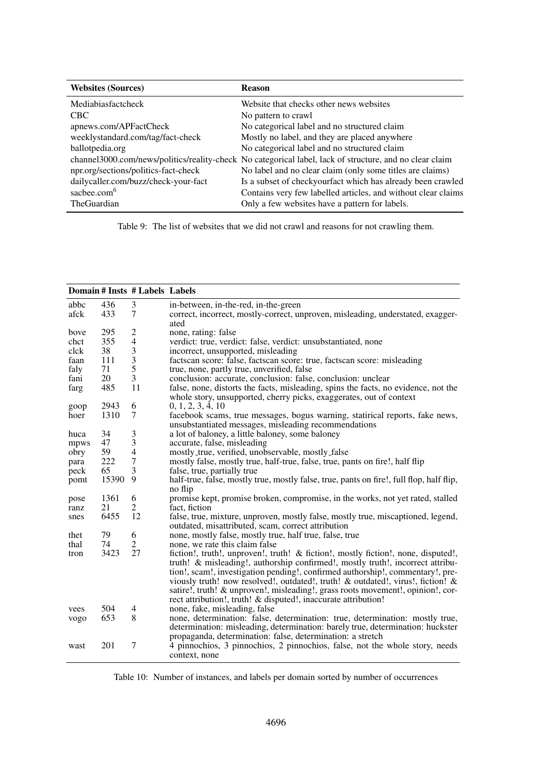<span id="page-11-0"></span>

| <b>Websites (Sources)</b>            | <b>Reason</b>                                                                                            |
|--------------------------------------|----------------------------------------------------------------------------------------------------------|
| Mediabiasfactcheck                   | Website that checks other news websites                                                                  |
| <b>CBC</b>                           | No pattern to crawl                                                                                      |
| apnews.com/APFactCheck               | No categorical label and no structured claim                                                             |
| weeklystandard.com/tag/fact-check    | Mostly no label, and they are placed anywhere                                                            |
| ballot pedia.org                     | No categorical label and no structured claim                                                             |
|                                      | channel 3000.com/news/politics/reality-check No categorical label, lack of structure, and no clear claim |
| npr.org/sections/politics-fact-check | No label and no clear claim (only some titles are claims)                                                |
| dailycaller.com/buzz/check-your-fact | Is a subset of checkyourfact which has already been crawled                                              |
| sacbee.com <sup>6</sup>              | Contains very few labelled articles, and without clear claims                                            |
| <b>TheGuardian</b>                   | Only a few websites have a pattern for labels.                                                           |

Table 9: The list of websites that we did not crawl and reasons for not crawling them.

<span id="page-11-1"></span>

|      |       | Domain # Insts # Labels Labels |                                                                                                                                                                                                                                                                                                                                                                                                                                                                                               |
|------|-------|--------------------------------|-----------------------------------------------------------------------------------------------------------------------------------------------------------------------------------------------------------------------------------------------------------------------------------------------------------------------------------------------------------------------------------------------------------------------------------------------------------------------------------------------|
| abbc | 436   | 3                              | in-between, in-the-red, in-the-green                                                                                                                                                                                                                                                                                                                                                                                                                                                          |
| afck | 433   | $\tau$                         | correct, incorrect, mostly-correct, unproven, misleading, understated, exagger-<br>ated                                                                                                                                                                                                                                                                                                                                                                                                       |
| bove | 295   | $\overline{c}$                 | none, rating: false                                                                                                                                                                                                                                                                                                                                                                                                                                                                           |
| chct | 355   | $\overline{\mathbf{4}}$        | verdict: true, verdict: false, verdict: unsubstantiated, none                                                                                                                                                                                                                                                                                                                                                                                                                                 |
| clck | 38    | 3                              | incorrect, unsupported, misleading                                                                                                                                                                                                                                                                                                                                                                                                                                                            |
| faan | 111   | 3                              | factscan score: false, factscan score: true, factscan score: misleading                                                                                                                                                                                                                                                                                                                                                                                                                       |
| faly | 71    | 5                              | true, none, partly true, unverified, false                                                                                                                                                                                                                                                                                                                                                                                                                                                    |
| fani | 20    | 3                              | conclusion: accurate, conclusion: false, conclusion: unclear                                                                                                                                                                                                                                                                                                                                                                                                                                  |
| farg | 485   | 11                             | false, none, distorts the facts, misleading, spins the facts, no evidence, not the<br>whole story, unsupported, cherry picks, exaggerates, out of context                                                                                                                                                                                                                                                                                                                                     |
| goop | 2943  | 6                              | 0, 1, 2, 3, 4, 10                                                                                                                                                                                                                                                                                                                                                                                                                                                                             |
| hoer | 1310  | 7                              | facebook scams, true messages, bogus warning, statirical reports, fake news,<br>unsubstantiated messages, misleading recommendations                                                                                                                                                                                                                                                                                                                                                          |
| huca | 34    | 3                              | a lot of baloney, a little baloney, some baloney                                                                                                                                                                                                                                                                                                                                                                                                                                              |
| mpws | 47    | $\mathfrak{Z}$                 | accurate, false, misleading                                                                                                                                                                                                                                                                                                                                                                                                                                                                   |
| obry | 59    | $\overline{4}$                 | mostly_true, verified, unobservable, mostly_false                                                                                                                                                                                                                                                                                                                                                                                                                                             |
| para | 222   | $\boldsymbol{7}$               | mostly false, mostly true, half-true, false, true, pants on fire!, half flip                                                                                                                                                                                                                                                                                                                                                                                                                  |
| peck | 65    | 3                              | false, true, partially true                                                                                                                                                                                                                                                                                                                                                                                                                                                                   |
| pomt | 15390 | 9                              | half-true, false, mostly true, mostly false, true, pants on fire!, full flop, half flip,<br>no flip                                                                                                                                                                                                                                                                                                                                                                                           |
| pose | 1361  | 6                              | promise kept, promise broken, compromise, in the works, not yet rated, stalled                                                                                                                                                                                                                                                                                                                                                                                                                |
| ranz | 21    | $\overline{2}$                 | fact, fiction                                                                                                                                                                                                                                                                                                                                                                                                                                                                                 |
| snes | 6455  | 12                             | false, true, mixture, unproven, mostly false, mostly true, miscaptioned, legend,<br>outdated, misattributed, scam, correct attribution                                                                                                                                                                                                                                                                                                                                                        |
| thet | 79    | 6                              | none, mostly false, mostly true, half true, false, true                                                                                                                                                                                                                                                                                                                                                                                                                                       |
| thal | 74    | 2                              | none, we rate this claim false                                                                                                                                                                                                                                                                                                                                                                                                                                                                |
| tron | 3423  | 27                             | fiction!, truth!, unproven!, truth! & fiction!, mostly fiction!, none, disputed!,<br>truth! & misleading!, authorship confirmed!, mostly truth!, incorrect attribu-<br>tion!, scam!, investigation pending!, confirmed authorship!, commentary!, pre-<br>viously truth! now resolved!, outdated!, truth! & outdated!, virus!, fiction! &<br>satire!, truth! & unproven!, misleading!, grass roots movement!, opinion!, cor-<br>rect attribution!, truth! & disputed!, inaccurate attribution! |
| vees | 504   | 4                              | none, fake, misleading, false                                                                                                                                                                                                                                                                                                                                                                                                                                                                 |
| vogo | 653   | 8                              | none, determination: false, determination: true, determination: mostly true,<br>determination: misleading, determination: barely true, determination: huckster<br>propaganda, determination: false, determination: a stretch                                                                                                                                                                                                                                                                  |
| wast | 201   | 7                              | 4 pinnochios, 3 pinnochios, 2 pinnochios, false, not the whole story, needs<br>context, none                                                                                                                                                                                                                                                                                                                                                                                                  |

Table 10: Number of instances, and labels per domain sorted by number of occurrences